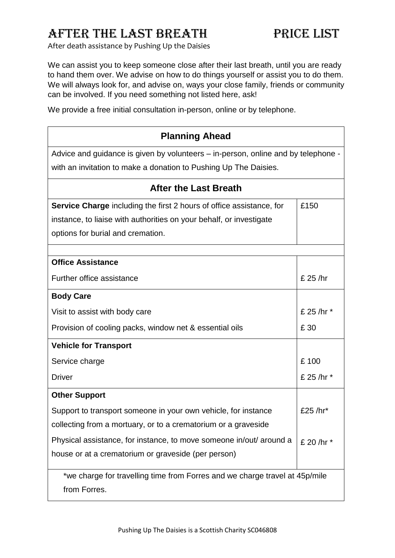## AFTER THE LAST BREATH PRICE LIST

After death assistance by Pushing Up the Daisies

We can assist you to keep someone close after their last breath, until you are ready to hand them over. We advise on how to do things yourself or assist you to do them. We will always look for, and advise on, ways your close family, friends or community can be involved. If you need something not listed here, ask!

We provide a free initial consultation in-person, online or by telephone.

| <b>Planning Ahead</b>                                                             |            |  |
|-----------------------------------------------------------------------------------|------------|--|
| Advice and guidance is given by volunteers – in-person, online and by telephone - |            |  |
| with an invitation to make a donation to Pushing Up The Daisies.                  |            |  |
| <b>After the Last Breath</b>                                                      |            |  |
| <b>Service Charge</b> including the first 2 hours of office assistance, for       | £150       |  |
| instance, to liaise with authorities on your behalf, or investigate               |            |  |
| options for burial and cremation.                                                 |            |  |
|                                                                                   |            |  |
| <b>Office Assistance</b>                                                          |            |  |
| Further office assistance                                                         | £ 25 /hr   |  |
| <b>Body Care</b>                                                                  |            |  |
| Visit to assist with body care                                                    | £ 25 /hr * |  |
| Provision of cooling packs, window net & essential oils                           | £ 30       |  |
| <b>Vehicle for Transport</b>                                                      |            |  |
| Service charge                                                                    | £100       |  |
| <b>Driver</b>                                                                     | £ 25 /hr * |  |
| <b>Other Support</b>                                                              |            |  |
| Support to transport someone in your own vehicle, for instance                    | £25 /hr*   |  |
| collecting from a mortuary, or to a crematorium or a graveside                    |            |  |
| Physical assistance, for instance, to move someone in/out/ around a               | £ 20 /hr * |  |
| house or at a crematorium or graveside (per person)                               |            |  |
| *we charge for travelling time from Forres and we charge travel at 45p/mile       |            |  |
| from Forres.                                                                      |            |  |